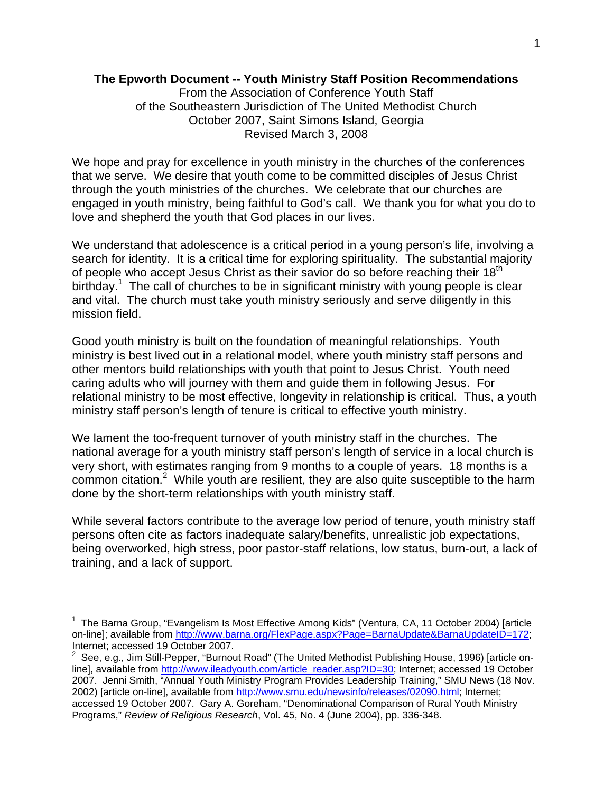# **The Epworth Document -- Youth Ministry Staff Position Recommendations**

From the Association of Conference Youth Staff of the Southeastern Jurisdiction of The United Methodist Church October 2007, Saint Simons Island, Georgia Revised March 3, 2008

We hope and pray for excellence in youth ministry in the churches of the conferences that we serve. We desire that youth come to be committed disciples of Jesus Christ through the youth ministries of the churches. We celebrate that our churches are engaged in youth ministry, being faithful to God's call. We thank you for what you do to love and shepherd the youth that God places in our lives.

We understand that adolescence is a critical period in a young person's life, involving a search for identity. It is a critical time for exploring spirituality. The substantial majority of people who accept Jesus Christ as their savior do so before reaching their  $18<sup>th</sup>$ birthday.<sup>1</sup> The call of churches to be in significant ministry with young people is clear and vital. The church must take youth ministry seriously and serve diligently in this mission field.

Good youth ministry is built on the foundation of meaningful relationships. Youth ministry is best lived out in a relational model, where youth ministry staff persons and other mentors build relationships with youth that point to Jesus Christ. Youth need caring adults who will journey with them and guide them in following Jesus. For relational ministry to be most effective, longevity in relationship is critical. Thus, a youth ministry staff person's length of tenure is critical to effective youth ministry.

We lament the too-frequent turnover of youth ministry staff in the churches. The national average for a youth ministry staff person's length of service in a local church is very short, with estimates ranging from 9 months to a couple of years. 18 months is a common citation.<sup>2</sup> While youth are resilient, they are also quite susceptible to the harm done by the short-term relationships with youth ministry staff.

While several factors contribute to the average low period of tenure, youth ministry staff persons often cite as factors inadequate salary/benefits, unrealistic job expectations, being overworked, high stress, poor pastor-staff relations, low status, burn-out, a lack of training, and a lack of support.

 $\overline{a}$ 

<sup>&</sup>lt;sup>1</sup> The Barna Group, "Evangelism Is Most Effective Among Kids" (Ventura, CA, 11 October 2004) [article on-line]; available from http://www.barna.org/FlexPage.aspx?Page=BarnaUpdate&BarnaUpdateID=172; Internet; accessed 19 October 2007.

 $2$  See, e.g., Jim Still-Pepper, "Burnout Road" (The United Methodist Publishing House, 1996) [article online], available from http://www.ileadyouth.com/article\_reader.asp?ID=30; Internet; accessed 19 October 2007. Jenni Smith, "Annual Youth Ministry Program Provides Leadership Training," SMU News (18 Nov. 2002) [article on-line], available from http://www.smu.edu/newsinfo/releases/02090.html; Internet; accessed 19 October 2007. Gary A. Goreham, "Denominational Comparison of Rural Youth Ministry Programs," *Review of Religious Research*, Vol. 45, No. 4 (June 2004), pp. 336-348.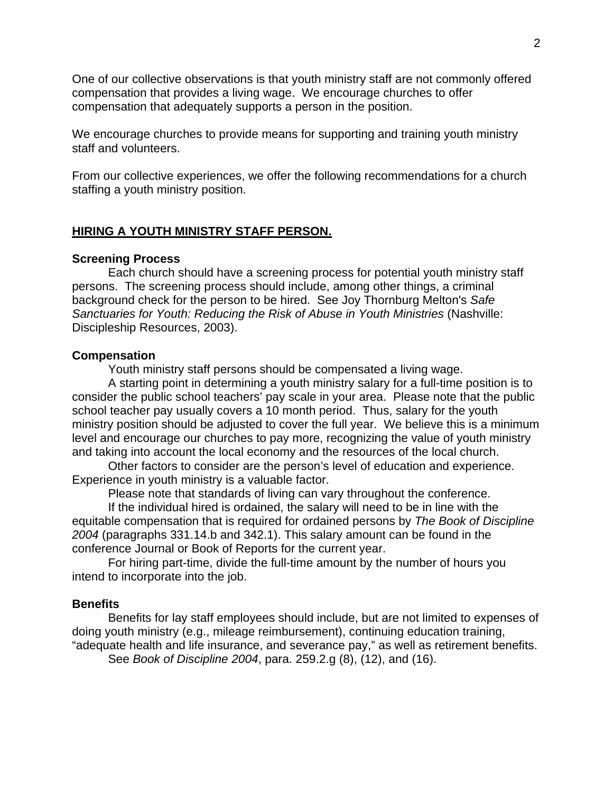One of our collective observations is that youth ministry staff are not commonly offered compensation that provides a living wage. We encourage churches to offer compensation that adequately supports a person in the position.

We encourage churches to provide means for supporting and training youth ministry staff and volunteers.

From our collective experiences, we offer the following recommendations for a church staffing a youth ministry position.

# **HIRING A YOUTH MINISTRY STAFF PERSON.**

### **Screening Process**

 Each church should have a screening process for potential youth ministry staff persons. The screening process should include, among other things, a criminal background check for the person to be hired. See Joy Thornburg Melton's *Safe Sanctuaries for Youth: Reducing the Risk of Abuse in Youth Ministries* (Nashville: Discipleship Resources, 2003).

#### **Compensation**

Youth ministry staff persons should be compensated a living wage.

 A starting point in determining a youth ministry salary for a full-time position is to consider the public school teachers' pay scale in your area. Please note that the public school teacher pay usually covers a 10 month period. Thus, salary for the youth ministry position should be adjusted to cover the full year. We believe this is a minimum level and encourage our churches to pay more, recognizing the value of youth ministry and taking into account the local economy and the resources of the local church.

 Other factors to consider are the person's level of education and experience. Experience in youth ministry is a valuable factor.

Please note that standards of living can vary throughout the conference.

 If the individual hired is ordained, the salary will need to be in line with the equitable compensation that is required for ordained persons by *The Book of Discipline 2004* (paragraphs 331.14.b and 342.1). This salary amount can be found in the conference Journal or Book of Reports for the current year.

 For hiring part-time, divide the full-time amount by the number of hours you intend to incorporate into the job.

#### **Benefits**

 Benefits for lay staff employees should include, but are not limited to expenses of doing youth ministry (e.g., mileage reimbursement), continuing education training, "adequate health and life insurance, and severance pay," as well as retirement benefits.

See *Book of Discipline 2004*, para. 259.2.g (8), (12), and (16).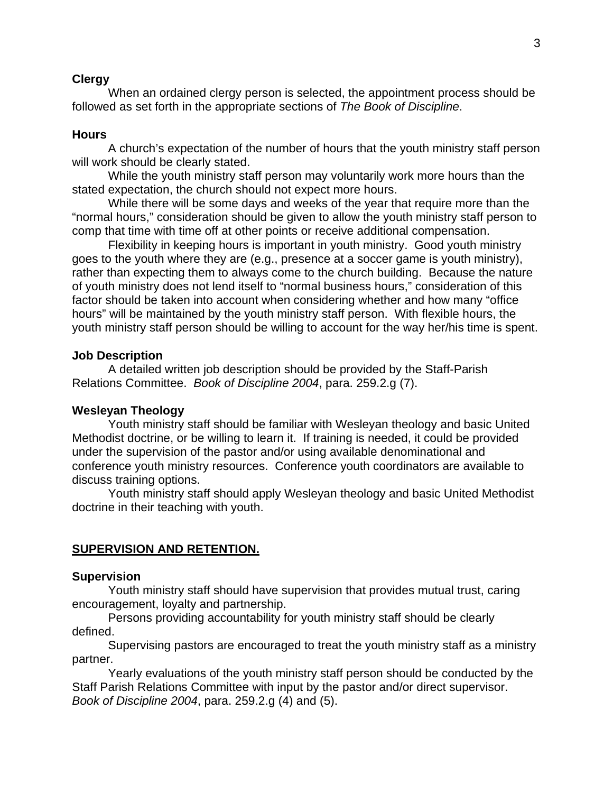### **Clergy**

 When an ordained clergy person is selected, the appointment process should be followed as set forth in the appropriate sections of *The Book of Discipline*.

## **Hours**

 A church's expectation of the number of hours that the youth ministry staff person will work should be clearly stated.

 While the youth ministry staff person may voluntarily work more hours than the stated expectation, the church should not expect more hours.

 While there will be some days and weeks of the year that require more than the "normal hours," consideration should be given to allow the youth ministry staff person to comp that time with time off at other points or receive additional compensation.

 Flexibility in keeping hours is important in youth ministry. Good youth ministry goes to the youth where they are (e.g., presence at a soccer game is youth ministry), rather than expecting them to always come to the church building. Because the nature of youth ministry does not lend itself to "normal business hours," consideration of this factor should be taken into account when considering whether and how many "office hours" will be maintained by the youth ministry staff person. With flexible hours, the youth ministry staff person should be willing to account for the way her/his time is spent.

### **Job Description**

 A detailed written job description should be provided by the Staff-Parish Relations Committee. *Book of Discipline 2004*, para. 259.2.g (7).

### **Wesleyan Theology**

 Youth ministry staff should be familiar with Wesleyan theology and basic United Methodist doctrine, or be willing to learn it. If training is needed, it could be provided under the supervision of the pastor and/or using available denominational and conference youth ministry resources. Conference youth coordinators are available to discuss training options.

 Youth ministry staff should apply Wesleyan theology and basic United Methodist doctrine in their teaching with youth.

# **SUPERVISION AND RETENTION.**

### **Supervision**

 Youth ministry staff should have supervision that provides mutual trust, caring encouragement, loyalty and partnership.

 Persons providing accountability for youth ministry staff should be clearly defined.

 Supervising pastors are encouraged to treat the youth ministry staff as a ministry partner.

 Yearly evaluations of the youth ministry staff person should be conducted by the Staff Parish Relations Committee with input by the pastor and/or direct supervisor. *Book of Discipline 2004*, para. 259.2.g (4) and (5).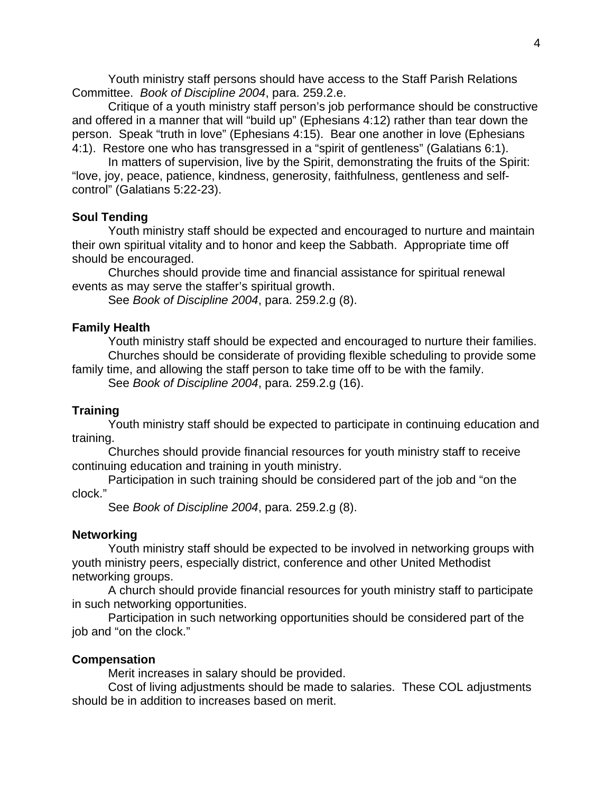Youth ministry staff persons should have access to the Staff Parish Relations Committee. *Book of Discipline 2004*, para. 259.2.e.

 Critique of a youth ministry staff person's job performance should be constructive and offered in a manner that will "build up" (Ephesians 4:12) rather than tear down the person. Speak "truth in love" (Ephesians 4:15). Bear one another in love (Ephesians 4:1). Restore one who has transgressed in a "spirit of gentleness" (Galatians 6:1).

 In matters of supervision, live by the Spirit, demonstrating the fruits of the Spirit: "love, joy, peace, patience, kindness, generosity, faithfulness, gentleness and selfcontrol" (Galatians 5:22-23).

### **Soul Tending**

 Youth ministry staff should be expected and encouraged to nurture and maintain their own spiritual vitality and to honor and keep the Sabbath. Appropriate time off should be encouraged.

 Churches should provide time and financial assistance for spiritual renewal events as may serve the staffer's spiritual growth.

See *Book of Discipline 2004*, para. 259.2.g (8).

### **Family Health**

 Youth ministry staff should be expected and encouraged to nurture their families. Churches should be considerate of providing flexible scheduling to provide some family time, and allowing the staff person to take time off to be with the family. See *Book of Discipline 2004*, para. 259.2.g (16).

#### **Training**

 Youth ministry staff should be expected to participate in continuing education and training.

 Churches should provide financial resources for youth ministry staff to receive continuing education and training in youth ministry.

 Participation in such training should be considered part of the job and "on the clock."

See *Book of Discipline 2004*, para. 259.2.g (8).

# **Networking**

 Youth ministry staff should be expected to be involved in networking groups with youth ministry peers, especially district, conference and other United Methodist networking groups.

 A church should provide financial resources for youth ministry staff to participate in such networking opportunities.

 Participation in such networking opportunities should be considered part of the job and "on the clock."

#### **Compensation**

Merit increases in salary should be provided.

 Cost of living adjustments should be made to salaries. These COL adjustments should be in addition to increases based on merit.